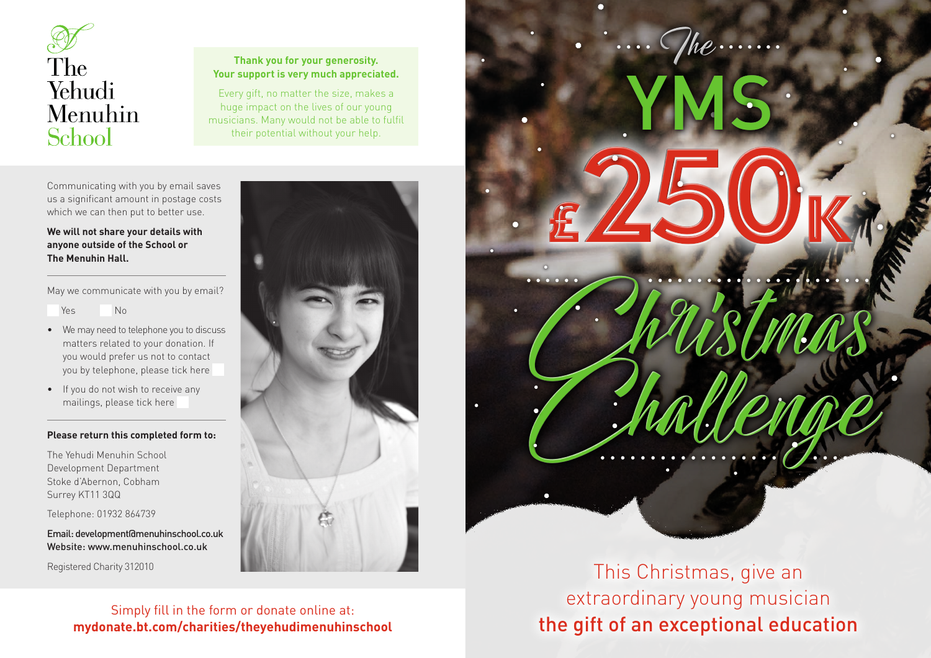

# **Thank you for your generosity. Your support is very much appreciated.**

Every gift, no matter the size, makes a huge impact on the lives of our young musicians. Many would not be able to fulfil their potential without your help.

Communicating with you by email saves us a significant amount in postage costs which we can then put to better use.

# **We will not share your details with anyone outside of the School or The Menuhin Hall.**

May we communicate with you by email?

Yes No

- We may need to telephone you to discuss matters related to your donation. If you would prefer us not to contact you by telephone, please tick here
- If you do not wish to receive any mailings, please tick here

# **Please return this completed form to:**

The Yehudi Menuhin School Development Department Stoke d'Abernon, Cobham Surrey KT11 3QQ

Telephone: 01932 864739

Email: development@menuhinschool.co.uk Website: www.menuhinschool.co.uk

Registered Charity 312010



**mydonate.bt.com/charities/theyehudimenuhinschool**



 $\frac{C}{\sqrt{2}}$ 

# This Christmas, give an extraordinary young musician Simply fill in the form or donate online at:<br> **the gift of an exceptional education**<br> **the gift of an exceptional education**